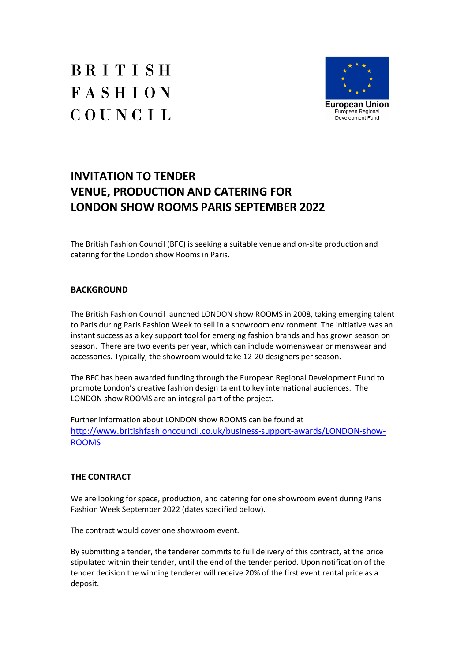# BRITISH **FASHION** COUNCIL



# **INVITATION TO TENDER VENUE, PRODUCTION AND CATERING FOR LONDON SHOW ROOMS PARIS SEPTEMBER 2022**

The British Fashion Council (BFC) is seeking a suitable venue and on-site production and catering for the London show Rooms in Paris.

# **BACKGROUND**

The British Fashion Council launched LONDON show ROOMS in 2008, taking emerging talent to Paris during Paris Fashion Week to sell in a showroom environment. The initiative was an instant success as a key support tool for emerging fashion brands and has grown season on season. There are two events per year, which can include womenswear or menswear and accessories. Typically, the showroom would take 12-20 designers per season.

The BFC has been awarded funding through the European Regional Development Fund to promote London's creative fashion design talent to key international audiences. The LONDON show ROOMS are an integral part of the project.

Further information about LONDON show ROOMS can be found at http://www.britishfashioncouncil.co.uk/business-support-awards/LONDON-show-ROOMS

# **THE CONTRACT**

We are looking for space, production, and catering for one showroom event during Paris Fashion Week September 2022 (dates specified below).

The contract would cover one showroom event.

By submitting a tender, the tenderer commits to full delivery of this contract, at the price stipulated within their tender, until the end of the tender period. Upon notification of the tender decision the winning tenderer will receive 20% of the first event rental price as a deposit.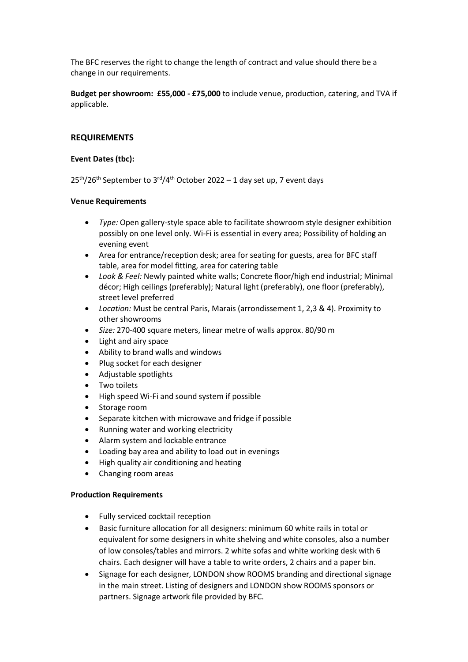The BFC reserves the right to change the length of contract and value should there be a change in our requirements.

**Budget per showroom: £55,000 - £75,000** to include venue, production, catering, and TVA if applicable.

## **REQUIREMENTS**

#### **Event Dates (tbc):**

25<sup>th</sup>/26<sup>th</sup> September to 3<sup>rd</sup>/4<sup>th</sup> October 2022 – 1 day set up, 7 event days

#### **Venue Requirements**

- · *Type:* Open gallery-style space able to facilitate showroom style designer exhibition possibly on one level only. Wi-Fi is essential in every area; Possibility of holding an evening event
- · Area for entrance/reception desk; area for seating for guests, area for BFC staff table, area for model fitting, area for catering table
- Look & Feel: Newly painted white walls; Concrete floor/high end industrial; Minimal décor; High ceilings (preferably); Natural light (preferably), one floor (preferably), street level preferred
- · *Location:* Must be central Paris, Marais (arrondissement 1, 2,3 & 4). Proximity to other showrooms
- · *Size:* 270-400 square meters, linear metre of walls approx. 80/90 m
- · Light and airy space
- Ability to brand walls and windows
- Plug socket for each designer
- · Adjustable spotlights
- · Two toilets
- High speed Wi-Fi and sound system if possible
- · Storage room
- Separate kitchen with microwave and fridge if possible
- · Running water and working electricity
- Alarm system and lockable entrance
- Loading bay area and ability to load out in evenings
- · High quality air conditioning and heating
- · Changing room areas

#### **Production Requirements**

- · Fully serviced cocktail reception
- Basic furniture allocation for all designers: minimum 60 white rails in total or equivalent for some designers in white shelving and white consoles, also a number of low consoles/tables and mirrors. 2 white sofas and white working desk with 6 chairs. Each designer will have a table to write orders, 2 chairs and a paper bin.
- · Signage for each designer, LONDON show ROOMS branding and directional signage in the main street. Listing of designers and LONDON show ROOMS sponsors or partners. Signage artwork file provided by BFC.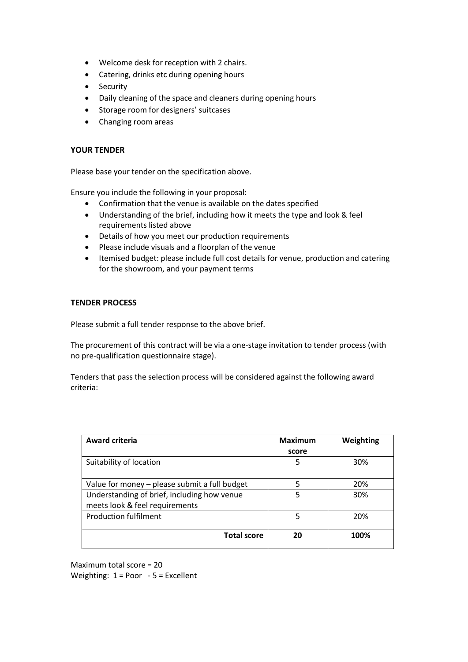- · Welcome desk for reception with 2 chairs.
- · Catering, drinks etc during opening hours
- Security
- · Daily cleaning of the space and cleaners during opening hours
- · Storage room for designers' suitcases
- · Changing room areas

#### **YOUR TENDER**

Please base your tender on the specification above.

Ensure you include the following in your proposal:

- · Confirmation that the venue is available on the dates specified
- · Understanding of the brief, including how it meets the type and look & feel requirements listed above
- · Details of how you meet our production requirements
- · Please include visuals and a floorplan of the venue
- · Itemised budget: please include full cost details for venue, production and catering for the showroom, and your payment terms

#### **TENDER PROCESS**

Please submit a full tender response to the above brief.

The procurement of this contract will be via a one-stage invitation to tender process (with no pre-qualification questionnaire stage).

Tenders that pass the selection process will be considered against the following award criteria:

| <b>Award criteria</b>                                                         | <b>Maximum</b> | Weighting |
|-------------------------------------------------------------------------------|----------------|-----------|
|                                                                               | score          |           |
| Suitability of location                                                       | 5              | 30%       |
| Value for money - please submit a full budget                                 | 5              | 20%       |
| Understanding of brief, including how venue<br>meets look & feel requirements | 5              | 30%       |
| <b>Production fulfilment</b>                                                  | 5              | 20%       |
| <b>Total score</b>                                                            | 20             | 100%      |

Maximum total score = 20 Weighting: 1 = Poor - 5 = Excellent